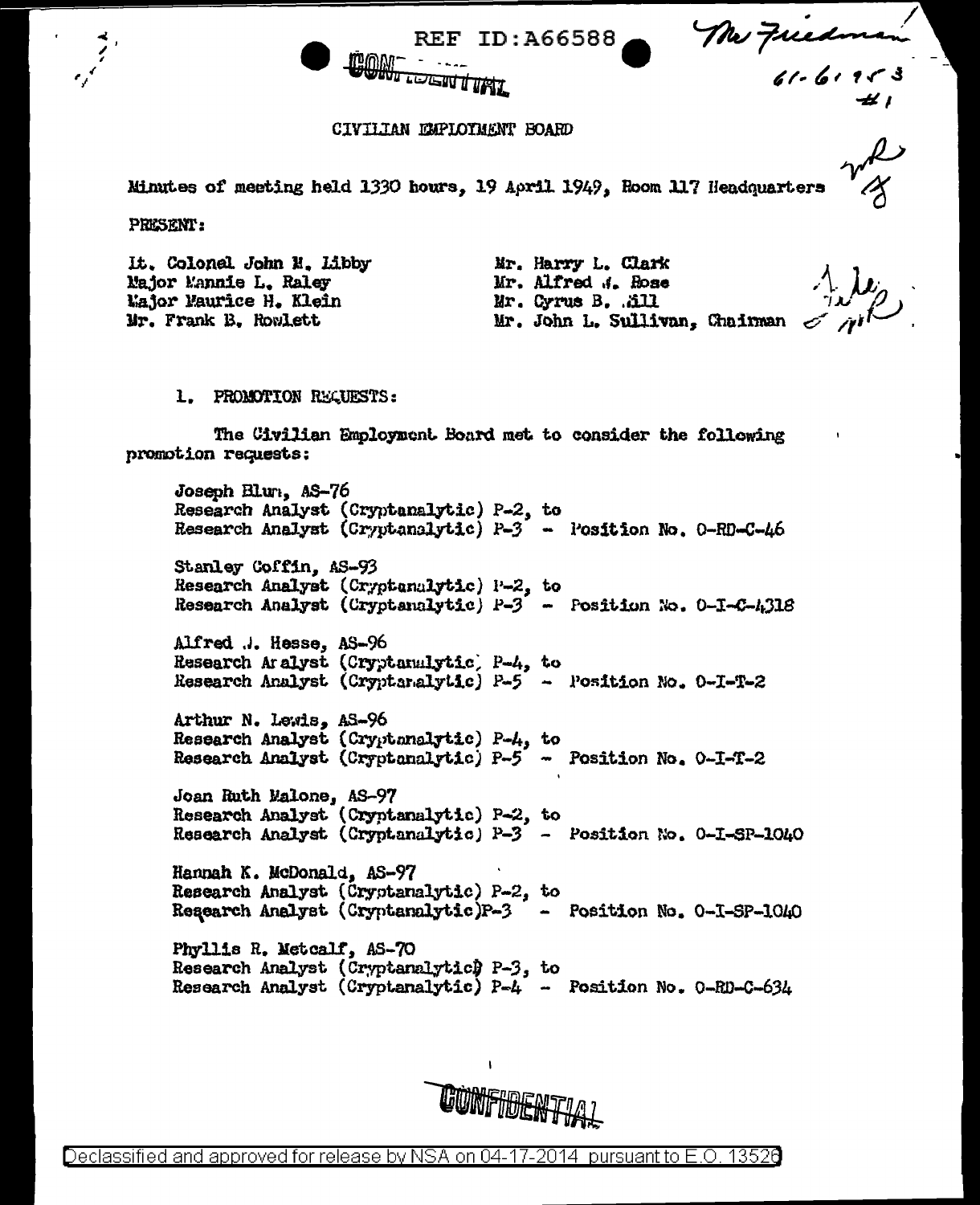Mr Friedman

## CIVILTAN EMPLOTMENT BOARD

**WE LOGEN THAT** 

Minutes of meeting held 1330 hours. 19 April 1949. Room 117 Headquarters

**REF ID:A66588** 

**PRESENT:** 

It. Colonel John N. Libby Najor Mannie L. Raley Major Maurice H. Klein Mr. Frank B. Rowlett

Mr. Harry L. Clark Mr. Alfred J. Rose Mr. Cyrus B. .äll Mr. John L. Sullivan, Chairman

1. PROMOTION REQUESTS:

The Civilian Employment Board met to consider the following promotion requests:

Joseph Blur. AS-76 Research Analyst (Cryptanalytic) P-2, to Research Analyst (Cryptanalytic)  $P-3$  - Position No. 0-RD-C-46 Stanley Coffin, AS-93 Research Analyst (Cryptenalytic) P-2, to Research Analyst (Cryptanalytic)  $P-3$  - Position No. 0-1-C-4318 Alfred ... Hesse, AS-96 Research Aralyst (Cryptanalytic) P-4, to Research Analyst (Cryptanalytic) P-5 - Position No. 0-I-T-2 Arthur N. Lewis, AS-96 Research Analyst (Cryptonalytic) P-4, to Research Analyst (Cryptanalytic) P-5 - Position No. 0-I-T-2 Joan Ruth Malone, AS-97 Research Analyst (Cryptanalytic) P-2, to Research Analyst (Cryptanalytic) P-3 - Position No. 0-I-SP-1040 Hannah K. McDonald, AS-97 Research Analyst (Cryptanalytic) P-2, to Research Analyst (Cryptanalytic)P-3 - Position No. 0-I-SP-1040 Phyllis R. Metcalf, AS-70 Research Analyst (Cryptanalytic) P-3, to Research Analyst (Cryptanalytic) P-4 - Position No. 0-RD-C-634

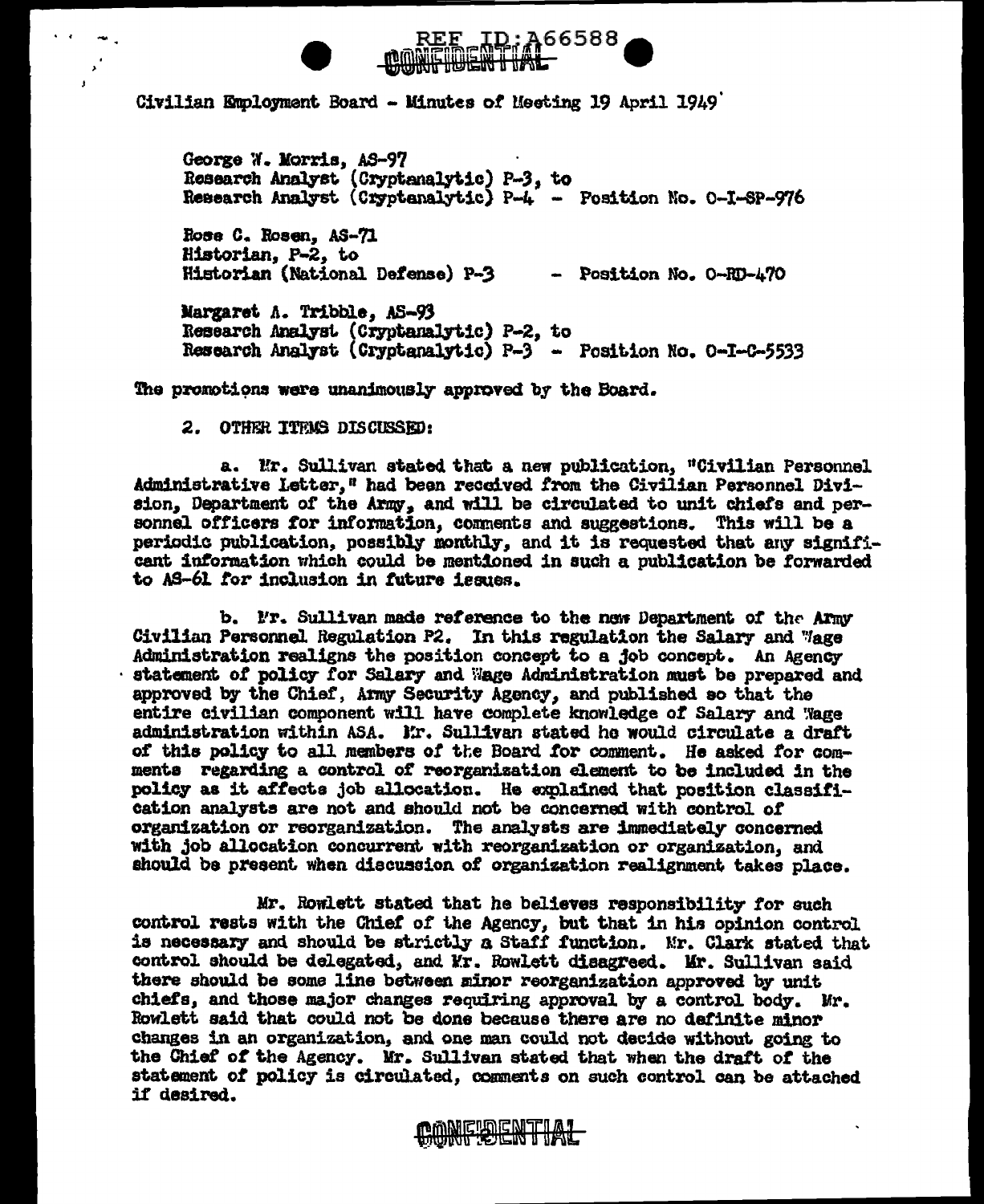



Civilian Employment Board - Minutes of Meeting 19 April 1949

George W. Morris, AS-97 Research Analyst (Cryptanalytic) P-3, to Research Analyst (Cryptanalytic) P-4 - Position No. 0-I-SP-976

Rose C. Rosen, AS-71 Historian. P-2. to Historian (National Defense) P-3 - Position No. 0-RD-470

Margaret A. Tribble. AS-93 Research Analyst (Cryptanalytic) P-2, to Research Analyst (Cryptanalytic) P-3 - Position No. 0-I-C-5533

The promotions were unanimously approved by the Board.

2. OTHER ITEMS DISCUSSED:

a. Mr. Sullivan stated that a new publication. "Civilian Personnel Administrative Letter." had been received from the Civilian Personnel Division, Department of the Army, and will be circulated to unit chiefs and personnel officers for information, comments and suggestions. This will be a periodic publication, possibly monthly, and it is requested that any significant information which could be mentioned in such a publication be forwarded to AS-61 for inclusion in future issues.

b. Fr. Sullivan made reference to the new Department of the Armv Civilian Personnel Regulation P2. In this regulation the Salary and Wage Administration realigns the position concept to a job concept. An Agency statement of policy for Salary and Wage Administration must be prepared and approved by the Chief, Army Security Agency, and published so that the entire civilian component will have complete knowledge of Salary and Wage administration within ASA. Mr. Sullivan stated he would circulate a draft of this policy to all members of the Board for comment. He asked for comments regarding a control of reorganization element to be included in the policy as it affects job allocation. He explained that position classification analysts are not and should not be concerned with control of organization or reorganization. The analysts are immediately concerned with job allocation concurrent with reorganization or organization, and should be present when discussion of organization realignment takes place.

Mr. Rowlett stated that he believes responsibility for such control rests with the Chief of the Agency, but that in his opinion control is necessary and should be strictly a Staff function. Mr. Clark stated that control should be delegated, and Mr. Rowlett disagreed. Mr. Sullivan said there should be some line between minor reorganization approved by unit chiefs, and those major changes requiring approval by a control body. Mr. Rowlett said that could not be done because there are no definite minor changes in an organization, and one man could not decide without going to the Chief of the Agency. Mr. Sullivan stated that when the draft of the statement of policy is circulated, comments on such control can be attached if desired.